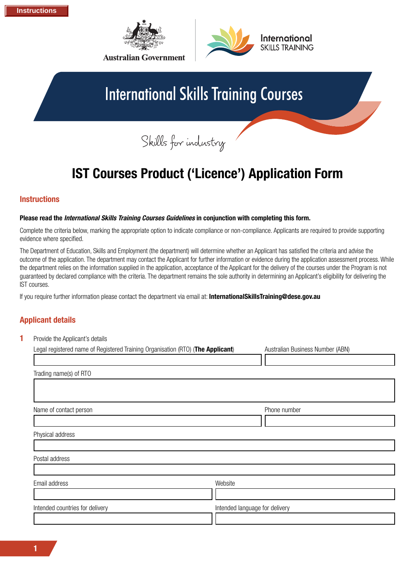



## **International Skills Training Courses**

Skills for industry

### **IST Courses Product ('Licence') Application Form**

### **Instructions**

#### **Please read the** *International Skills Training Courses Guidelines* **in conjunction with completing this form.**

Complete the criteria below, marking the appropriate option to indicate compliance or non-compliance. Applicants are required to provide supporting evidence where specified.

The Department of Education, Skills and Employment (the department) will determine whether an Applicant has satisfied the criteria and advise the outcome of the application. The department may contact the Applicant for further information or evidence during the application assessment process. While the department relies on the information supplied in the application, acceptance of the Applicant for the delivery of the courses under the Program is not guaranteed by declared compliance with the criteria. The department remains the sole authority in determining an Applicant's eligibility for delivering the IST courses.

If you require further information please contact the department via email at: **[InternationalSkillsTraining@dese.gov.au](mailto:InternationalSkillsTraining@dese.gov.au)**

### **Applicant details**

| Provide the Applicant's details                                                 |                                  |  |  |  |
|---------------------------------------------------------------------------------|----------------------------------|--|--|--|
| Legal registered name of Registered Training Organisation (RTO) (The Applicant) | Australian Business Number (ABN) |  |  |  |
|                                                                                 |                                  |  |  |  |
|                                                                                 |                                  |  |  |  |
|                                                                                 |                                  |  |  |  |
|                                                                                 | Phone number                     |  |  |  |
|                                                                                 |                                  |  |  |  |
|                                                                                 |                                  |  |  |  |
|                                                                                 |                                  |  |  |  |
|                                                                                 |                                  |  |  |  |
|                                                                                 |                                  |  |  |  |
| Website                                                                         |                                  |  |  |  |
|                                                                                 |                                  |  |  |  |
|                                                                                 | Intended language for delivery   |  |  |  |
|                                                                                 |                                  |  |  |  |
|                                                                                 |                                  |  |  |  |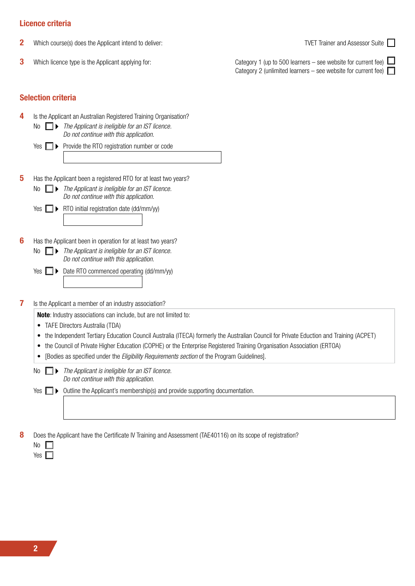### **Licence criteria**

- **2** Which course(s) does the Applicant intend to deliver: TVET Trainer and Assessor Suite
- 

**3** Which licence type is the Applicant applying for: Category 1 (up to 500 learners – see website for current fee) Category 2 (unlimited learners – see website for current fee)

# **Selection criteria**

**4** Is the Applicant an Australian Registered Training Organisation? No *The Applicant is ineligible for an IST licence. Do not continue with this application.*

- $Yes \t P\rightarrow Provide$  the RTO registration number or code
- **5** Has the Applicant been a registered RTO for at least two years?
	- No *The Applicant is ineligible for an IST licence. Do not continue with this application.*
	- Yes  $\Box$  **RTO** initial registration date (dd/mm/yy)
- **6** Has the Applicant been in operation for at least two years?
	- No *The Applicant is ineligible for an IST licence. Do not continue with this application.*
	- Yes  $\Box$  Date RTO commenced operating (dd/mm/yy)
- **7** Is the Applicant a member of an industry association?
	- **Note**: Industry associations can include, but are not limited to:
	- TAFE Directors Australia (TDA)
	- the Independent Tertiary Education Council Australia (ITECA) formerly the Australian Council for Private Eduction and Training (ACPET)
	- the Council of Private Higher Education (COPHE) or the Enterprise Registered Training Organisation Association (ERTOA)
	- [Bodies as specified under the *Eligibility Requirements section* of the Program Guidelines].
	- No *The Applicant is ineligible for an IST licence. Do not continue with this application.*

Yes  $\Box$   $\triangleright$  Outline the Applicant's membership(s) and provide supporting documentation.

**8** Does the Applicant have the Certificate IV Training and Assessment (TAE40116) on its scope of registration?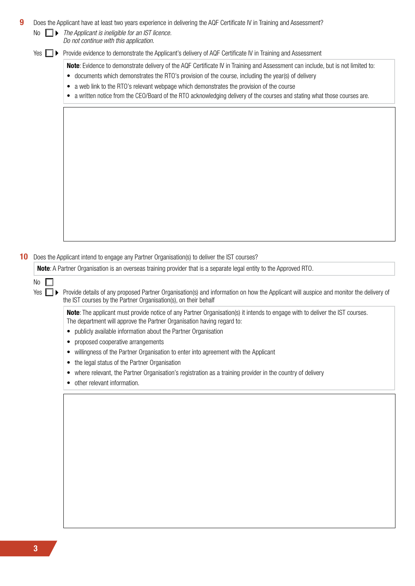| 9  | No.                                                                                       | Does the Applicant have at least two years experience in delivering the AQF Certificate IV in Training and Assessment?<br>$\Box$ The Applicant is ineligible for an IST licence. |  |  |  |  |  |
|----|-------------------------------------------------------------------------------------------|----------------------------------------------------------------------------------------------------------------------------------------------------------------------------------|--|--|--|--|--|
|    |                                                                                           | Do not continue with this application.                                                                                                                                           |  |  |  |  |  |
|    | Yes<br>$\blacksquare$                                                                     | Provide evidence to demonstrate the Applicant's delivery of AQF Certificate IV in Training and Assessment                                                                        |  |  |  |  |  |
|    |                                                                                           | Note: Evidence to demonstrate delivery of the AQF Certificate IV in Training and Assessment can include, but is not limited to:                                                  |  |  |  |  |  |
|    |                                                                                           | • documents which demonstrates the RTO's provision of the course, including the year(s) of delivery                                                                              |  |  |  |  |  |
|    | • a web link to the RTO's relevant webpage which demonstrates the provision of the course |                                                                                                                                                                                  |  |  |  |  |  |
|    |                                                                                           | • a written notice from the CEO/Board of the RTO acknowledging delivery of the courses and stating what those courses are.                                                       |  |  |  |  |  |
|    |                                                                                           |                                                                                                                                                                                  |  |  |  |  |  |
|    |                                                                                           |                                                                                                                                                                                  |  |  |  |  |  |
|    |                                                                                           |                                                                                                                                                                                  |  |  |  |  |  |
|    |                                                                                           |                                                                                                                                                                                  |  |  |  |  |  |
|    |                                                                                           |                                                                                                                                                                                  |  |  |  |  |  |
|    |                                                                                           |                                                                                                                                                                                  |  |  |  |  |  |
|    |                                                                                           |                                                                                                                                                                                  |  |  |  |  |  |
|    |                                                                                           |                                                                                                                                                                                  |  |  |  |  |  |
|    |                                                                                           |                                                                                                                                                                                  |  |  |  |  |  |
|    |                                                                                           |                                                                                                                                                                                  |  |  |  |  |  |
|    |                                                                                           |                                                                                                                                                                                  |  |  |  |  |  |
|    |                                                                                           |                                                                                                                                                                                  |  |  |  |  |  |
|    |                                                                                           |                                                                                                                                                                                  |  |  |  |  |  |
|    |                                                                                           |                                                                                                                                                                                  |  |  |  |  |  |
|    |                                                                                           |                                                                                                                                                                                  |  |  |  |  |  |
| 10 |                                                                                           | Does the Applicant intend to engage any Partner Organisation(s) to deliver the IST courses?                                                                                      |  |  |  |  |  |
|    |                                                                                           |                                                                                                                                                                                  |  |  |  |  |  |
|    |                                                                                           | <b>Note:</b> A Partner Organisation is an overseas training provider that is a separate legal entity to the Approved RTO.                                                        |  |  |  |  |  |
|    | No                                                                                        |                                                                                                                                                                                  |  |  |  |  |  |
|    | Yes<br>□▶                                                                                 | Provide details of any proposed Partner Organisation(s) and information on how the Applicant will auspice and monitor the delivery of                                            |  |  |  |  |  |
|    |                                                                                           | the IST courses by the Partner Organisation(s), on their behalf                                                                                                                  |  |  |  |  |  |
|    |                                                                                           | <b>Note:</b> The applicant must provide notice of any Partner Organisation(s) it intends to engage with to deliver the IST courses.                                              |  |  |  |  |  |
|    |                                                                                           | The department will approve the Partner Organisation having regard to:                                                                                                           |  |  |  |  |  |
|    |                                                                                           | publicly available information about the Partner Organisation                                                                                                                    |  |  |  |  |  |
|    |                                                                                           | proposed cooperative arrangements<br>٠                                                                                                                                           |  |  |  |  |  |
|    |                                                                                           | willingness of the Partner Organisation to enter into agreement with the Applicant<br>٠                                                                                          |  |  |  |  |  |
|    |                                                                                           | the legal status of the Partner Organisation<br>$\bullet$                                                                                                                        |  |  |  |  |  |
|    |                                                                                           | where relevant, the Partner Organisation's registration as a training provider in the country of delivery<br>$\bullet$                                                           |  |  |  |  |  |
|    |                                                                                           | other relevant information.                                                                                                                                                      |  |  |  |  |  |
|    |                                                                                           |                                                                                                                                                                                  |  |  |  |  |  |
|    |                                                                                           |                                                                                                                                                                                  |  |  |  |  |  |
|    |                                                                                           |                                                                                                                                                                                  |  |  |  |  |  |
|    |                                                                                           |                                                                                                                                                                                  |  |  |  |  |  |
|    |                                                                                           |                                                                                                                                                                                  |  |  |  |  |  |
|    |                                                                                           |                                                                                                                                                                                  |  |  |  |  |  |
|    |                                                                                           |                                                                                                                                                                                  |  |  |  |  |  |
|    |                                                                                           |                                                                                                                                                                                  |  |  |  |  |  |
|    |                                                                                           |                                                                                                                                                                                  |  |  |  |  |  |
|    |                                                                                           |                                                                                                                                                                                  |  |  |  |  |  |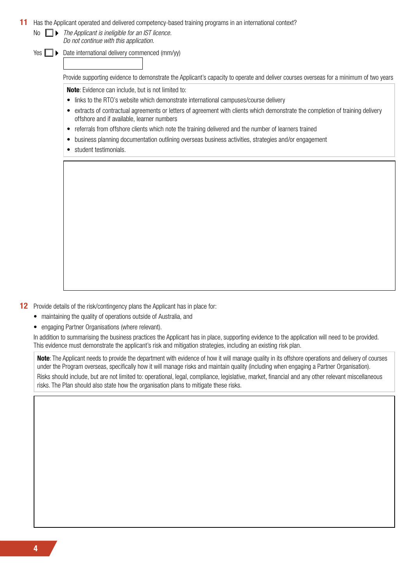### **11** Has the Applicant operated and delivered competency-based training programs in an international context?

No *The Applicant is ineligible for an IST licence. Do not continue with this application.*

Yes  $\Box$   $\triangleright$  Date international delivery commenced (mm/yy)

Provide supporting evidence to demonstrate the Applicant's capacity to operate and deliver courses overseas for a minimum of two years

**Note**: Evidence can include, but is not limited to:

- links to the RTO's website which demonstrate international campuses/course delivery
- extracts of contractual agreements or letters of agreement with clients which demonstrate the completion of training delivery offshore and if available, learner numbers
- referrals from offshore clients which note the training delivered and the number of learners trained
- business planning documentation outlining overseas business activities, strategies and/or engagement
- student testimonials.

**12** Provide details of the risk/contingency plans the Applicant has in place for:

- maintaining the quality of operations outside of Australia, and
- engaging Partner Organisations (where relevant).

In addition to summarising the business practices the Applicant has in place, supporting evidence to the application will need to be provided. This evidence must demonstrate the applicant's risk and mitigation strategies, including an existing risk plan.

**Note**: The Applicant needs to provide the department with evidence of how it will manage quality in its offshore operations and delivery of courses under the Program overseas, specifically how it will manage risks and maintain quality (including when engaging a Partner Organisation). Risks should include, but are not limited to: operational, legal, compliance, legislative, market, financial and any other relevant miscellaneous risks. The Plan should also state how the organisation plans to mitigate these risks.